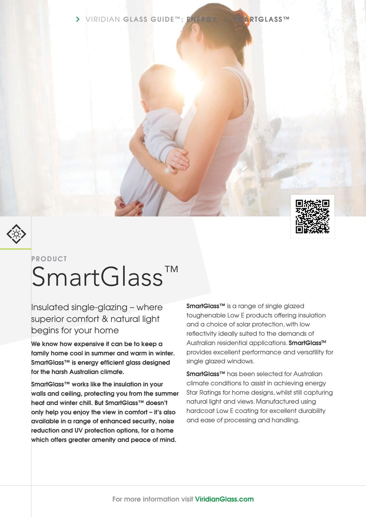





# **PRODUCT** SmartGlass™

Insulated single-glazing – where superior comfort & natural light begins for your home

**We know how expensive it can be to keep a family home cool in summer and warm in winter. SmartGlass™ is energy efficient glass designed for the harsh Australian climate.**

**SmartGlass™ works like the insulation in your walls and ceiling, protecting you from the summer heat and winter chill. But SmartGlass™ doesn't only help you enjoy the view in comfort – it's also available in a range of enhanced security, noise reduction and UV protection options, for a home which offers greater amenity and peace of mind.**

**SmartGlass™** is a range of single glazed toughenable Low E products offering insulation and a choice of solar protection, with low reflectivity ideally suited to the demands of Australian residential applications. **SmartGlass™** provides excellent performance and versatility for single glazed windows.

**SmartGlass™** has been selected for Australian climate conditions to assist in achieving energy Star Ratings for home designs, whilst still capturing natural light and views. Manufactured using hardcoat Low E coating for excellent durability and ease of processing and handling.